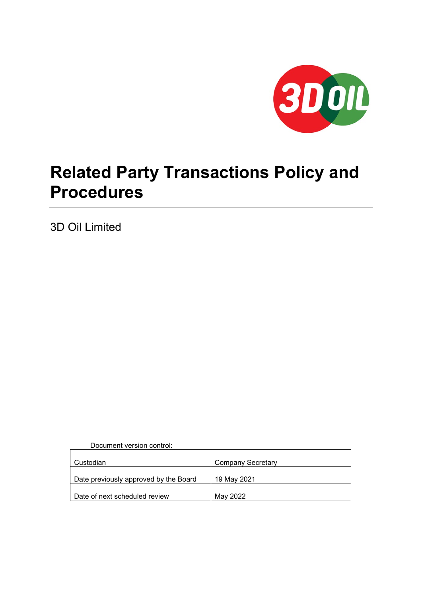

# **Related Party Transactions Policy and Procedures**

3D Oil Limited

Document version control:

| Custodian                             | <b>Company Secretary</b> |
|---------------------------------------|--------------------------|
| Date previously approved by the Board | 19 May 2021              |
| Date of next scheduled review         | May 2022                 |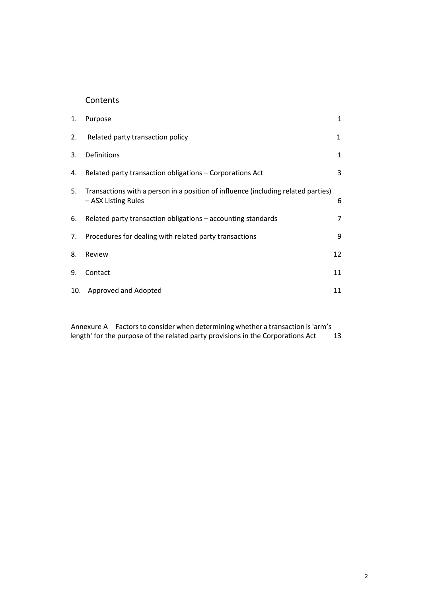# **Contents**

| 1.  | Purpose                                                                                                  | 1              |
|-----|----------------------------------------------------------------------------------------------------------|----------------|
| 2.  | Related party transaction policy                                                                         | $\mathbf{1}$   |
| 3.  | Definitions                                                                                              | 1              |
| 4.  | Related party transaction obligations - Corporations Act                                                 | 3              |
| 5.  | Transactions with a person in a position of influence (including related parties)<br>- ASX Listing Rules | 6              |
| 6.  | Related party transaction obligations – accounting standards                                             | $\overline{7}$ |
| 7.  | Procedures for dealing with related party transactions                                                   | 9              |
| 8.  | Review                                                                                                   | 12             |
| 9.  | Contact                                                                                                  | 11             |
| 10. | Approved and Adopted                                                                                     | 11             |

Annexure A Factors to consider when determining whether a transaction is 'arm's length' for the purpose of the related party provisions in the Corporations Act 13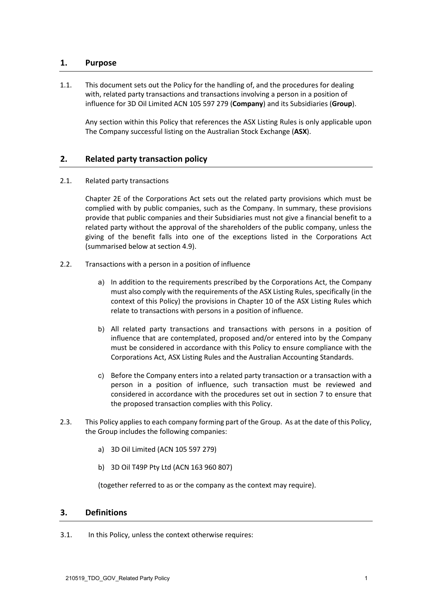# **1. Purpose**

1.1. This document sets out the Policy for the handling of, and the procedures for dealing with, related party transactions and transactions involving a person in a position of influence for 3D Oil Limited ACN 105 597 279 (**Company**) and its Subsidiaries (**Group**).

Any section within this Policy that references the ASX Listing Rules is only applicable upon The Company successful listing on the Australian Stock Exchange (**ASX**).

# **2. Related party transaction policy**

2.1. Related party transactions

Chapter 2E of the Corporations Act sets out the related party provisions which must be complied with by public companies, such as the Company. In summary, these provisions provide that public companies and their Subsidiaries must not give a financial benefit to a related party without the approval of the shareholders of the public company, unless the giving of the benefit falls into one of the exceptions listed in the Corporations Act (summarised below at section 4.9).

- 2.2. Transactions with a person in a position of influence
	- a) In addition to the requirements prescribed by the Corporations Act, the Company must also comply with the requirements of the ASX Listing Rules, specifically (in the context of this Policy) the provisions in Chapter 10 of the ASX Listing Rules which relate to transactions with persons in a position of influence.
	- b) All related party transactions and transactions with persons in a position of influence that are contemplated, proposed and/or entered into by the Company must be considered in accordance with this Policy to ensure compliance with the Corporations Act, ASX Listing Rules and the Australian Accounting Standards.
	- c) Before the Company enters into a related party transaction or a transaction with a person in a position of influence, such transaction must be reviewed and considered in accordance with the procedures set out in section 7 to ensure that the proposed transaction complies with this Policy.
- 2.3. This Policy applies to each company forming part of the Group. As at the date of this Policy, the Group includes the following companies:
	- a) 3D Oil Limited (ACN 105 597 279)
	- b) 3D Oil T49P Pty Ltd (ACN 163 960 807)

(together referred to as or the company as the context may require).

# **3. Definitions**

3.1. In this Policy, unless the context otherwise requires: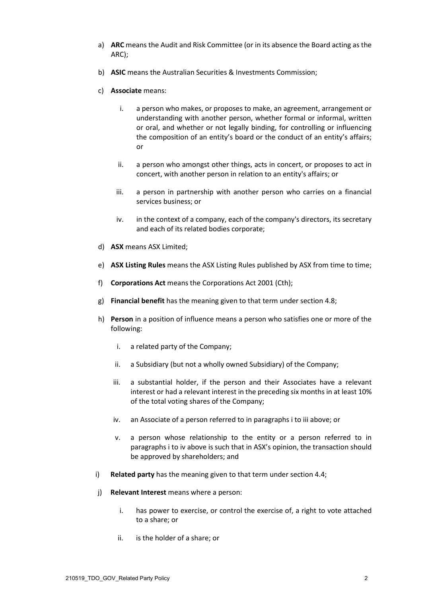- a) **ARC** means the Audit and Risk Committee (or in its absence the Board acting as the ARC);
- b) **ASIC** means the Australian Securities & Investments Commission;
- c) **Associate** means:
	- i. a person who makes, or proposes to make, an agreement, arrangement or understanding with another person, whether formal or informal, written or oral, and whether or not legally binding, for controlling or influencing the composition of an entity's board or the conduct of an entity's affairs; or
	- ii. a person who amongst other things, acts in concert, or proposes to act in concert, with another person in relation to an entity's affairs; or
	- iii. a person in partnership with another person who carries on a financial services business; or
	- iv. in the context of a company, each of the company's directors, its secretary and each of its related bodies corporate;
- d) **ASX** means ASX Limited;
- e) **ASX Listing Rules** means the ASX Listing Rules published by ASX from time to time;
- f) **Corporations Act** means the Corporations Act 2001 (Cth);
- g) **Financial benefit** has the meaning given to that term under sectio[n 4.8;](#page-5-0)
- <span id="page-3-1"></span><span id="page-3-0"></span>h) **Person** in a position of influence means a person who satisfies one or more of the following:
	- i. a related party of the Company;
	- ii. a Subsidiary (but not a wholly owned Subsidiary) of the Company;
	- iii. a substantial holder, if the person and their Associates have a relevant interest or had a relevant interest in the preceding six months in at least 10% of the total voting shares of the Company;
	- iv. an Associate of a person referred to in paragraph[s i](#page-3-0) t[o iii](#page-3-1) above; or
	- v. a person whose relationship to the entity or a person referred to in paragraphs [i](#page-3-0) to [iv](#page-3-2) above is such that in ASX's opinion, the transaction should be approved by shareholders; and
- <span id="page-3-2"></span>i) **Related party** has the meaning given to that term under sectio[n 4.4;](#page-4-0)
- j) **Relevant Interest** means where a person:
	- i. has power to exercise, or control the exercise of, a right to vote attached to a share; or
	- ii. is the holder of a share; or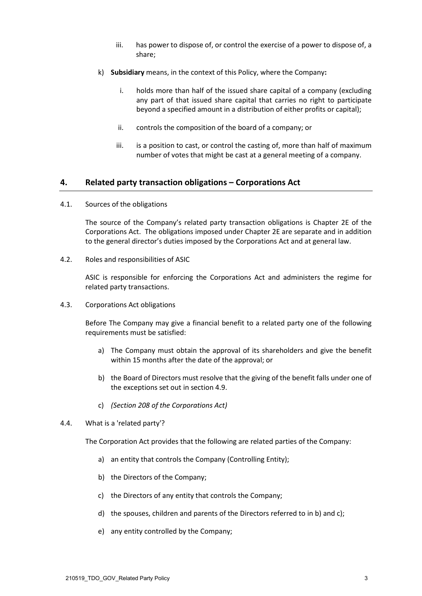- iii. has power to dispose of, or control the exercise of a power to dispose of, a share;
- k) **Subsidiary** means, in the context of this Policy, where the Company**:**
	- i. holds more than half of the issued share capital of a company (excluding any part of that issued share capital that carries no right to participate beyond a specified amount in a distribution of either profits or capital);
	- ii. controls the composition of the board of a company; or
	- iii. is a position to cast, or control the casting of, more than half of maximum number of votes that might be cast at a general meeting of a company.

#### **4. Related party transaction obligations – Corporations Act**

4.1. Sources of the obligations

The source of the Company's related party transaction obligations is Chapter 2E of the Corporations Act. The obligations imposed under Chapter 2E are separate and in addition to the general director's duties imposed by the Corporations Act and at general law.

4.2. Roles and responsibilities of ASIC

ASIC is responsible for enforcing the Corporations Act and administers the regime for related party transactions.

4.3. Corporations Act obligations

Before The Company may give a financial benefit to a related party one of the following requirements must be satisfied:

- a) The Company must obtain the approval of its shareholders and give the benefit within 15 months after the date of the approval; or
- b) the Board of Directors must resolve that the giving of the benefit falls under one of the exceptions set out in section [4.9.](#page-5-1)
- c) *(Section 208 of the Corporations Act)*
- <span id="page-4-3"></span><span id="page-4-0"></span>4.4. What is a 'related party'?

<span id="page-4-1"></span>The Corporation Act provides that the following are related parties of the Company:

- a) an entity that controls the Company (Controlling Entity);
- <span id="page-4-2"></span>b) the Directors of the Company;
- c) the Directors of any entity that controls the Company;
- <span id="page-4-4"></span>d) the spouses, children and parents of the Directors referred to i[n b\)](#page-4-1) and [c\);](#page-4-2)
- e) any entity controlled by the Company;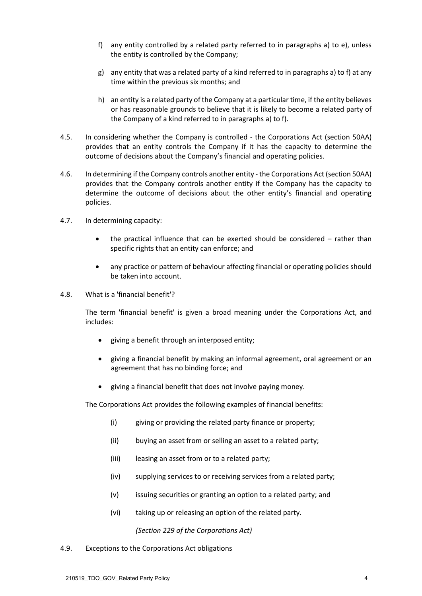- <span id="page-5-2"></span>f) any entity controlled by a related party referred to in paragraphs [a\)](#page-4-3) to [e\),](#page-4-4) unless the entity is controlled by the Company;
- g) any entity that was a related party of a kind referred to in paragraph[s a\)](#page-4-3) t[o f\)](#page-5-2) at any time within the previous six months; and
- h) an entity is a related party of the Company at a particular time, if the entity believes or has reasonable grounds to believe that it is likely to become a related party of the Company of a kind referred to in paragraph[s a\)](#page-4-3) to [f\).](#page-5-2)
- 4.5. In considering whether the Company is controlled the Corporations Act (section 50AA) provides that an entity controls the Company if it has the capacity to determine the outcome of decisions about the Company's financial and operating policies.
- 4.6. In determining if the Company controls another entity the Corporations Act (section 50AA) provides that the Company controls another entity if the Company has the capacity to determine the outcome of decisions about the other entity's financial and operating policies.
- 4.7. In determining capacity:
	- the practical influence that can be exerted should be considered rather than specific rights that an entity can enforce; and
	- any practice or pattern of behaviour affecting financial or operating policies should be taken into account.
- <span id="page-5-0"></span>4.8. What is a 'financial benefit'?

The term 'financial benefit' is given a broad meaning under the Corporations Act, and includes:

- giving a benefit through an interposed entity;
- giving a financial benefit by making an informal agreement, oral agreement or an agreement that has no binding force; and
- giving a financial benefit that does not involve paying money.

The Corporations Act provides the following examples of financial benefits:

- (i) giving or providing the related party finance or property;
- (ii) buying an asset from or selling an asset to a related party;
- (iii) leasing an asset from or to a related party;
- (iv) supplying services to or receiving services from a related party;
- (v) issuing securities or granting an option to a related party; and
- (vi) taking up or releasing an option of the related party.

*(Section 229 of the Corporations Act)*

<span id="page-5-1"></span>4.9. Exceptions to the Corporations Act obligations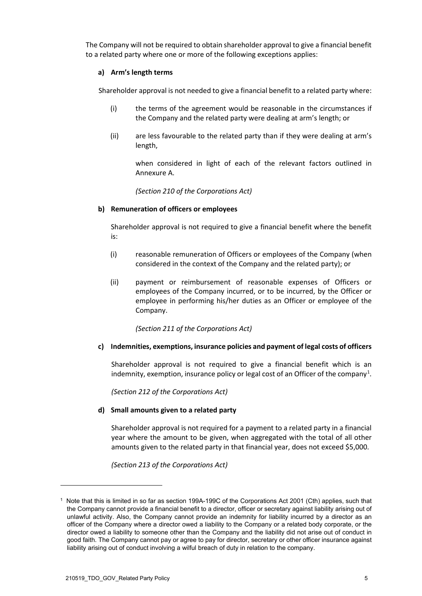The Company will not be required to obtain shareholder approval to give a financial benefit to a related party where one or more of the following exceptions applies:

#### **a) Arm's length terms**

Shareholder approval is not needed to give a financial benefit to a related party where:

- (i) the terms of the agreement would be reasonable in the circumstances if the Company and the related party were dealing at arm's length; or
- (ii) are less favourable to the related party than if they were dealing at arm's length,

when considered in light of each of the relevant factors outlined in Annexure A.

*(Section 210 of the Corporations Act)*

#### **b) Remuneration of officers or employees**

Shareholder approval is not required to give a financial benefit where the benefit is:

- (i) reasonable remuneration of Officers or employees of the Company (when considered in the context of the Company and the related party); or
- (ii) payment or reimbursement of reasonable expenses of Officers or employees of the Company incurred, or to be incurred, by the Officer or employee in performing his/her duties as an Officer or employee of the Company.

*(Section 211 of the Corporations Act)*

#### **c) Indemnities, exemptions, insurance policies and payment of legal costs of officers**

Shareholder approval is not required to give a financial benefit which is an indemnity, exemption, insurance policy or legal cost of an Officer of the company<sup>[1](#page-6-0)</sup>.

*(Section 212 of the Corporations Act)*

#### **d) Small amounts given to a related party**

Shareholder approval is not required for a payment to a related party in a financial year where the amount to be given, when aggregated with the total of all other amounts given to the related party in that financial year, does not exceed \$5,000.

*(Section 213 of the Corporations Act)*

<span id="page-6-0"></span><sup>1</sup> Note that this is limited in so far as section 199A-199C of the Corporations Act 2001 (Cth) applies, such that the Company cannot provide a financial benefit to a director, officer or secretary against liability arising out of unlawful activity. Also, the Company cannot provide an indemnity for liability incurred by a director as an officer of the Company where a director owed a liability to the Company or a related body corporate, or the director owed a liability to someone other than the Company and the liability did not arise out of conduct in good faith. The Company cannot pay or agree to pay for director, secretary or other officer insurance against liability arising out of conduct involving a wilful breach of duty in relation to the company.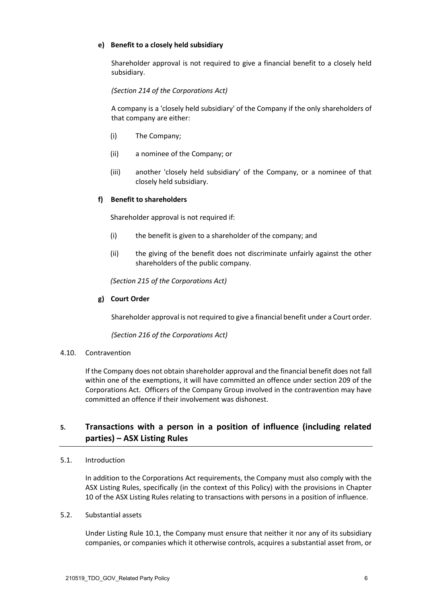#### **e) Benefit to a closely held subsidiary**

Shareholder approval is not required to give a financial benefit to a closely held subsidiary.

*(Section 214 of the Corporations Act)*

A company is a 'closely held subsidiary' of the Company if the only shareholders of that company are either:

- (i) The Company;
- (ii) a nominee of the Company; or
- (iii) another 'closely held subsidiary' of the Company, or a nominee of that closely held subsidiary.

#### **f) Benefit to shareholders**

Shareholder approval is not required if:

- (i) the benefit is given to a shareholder of the company; and
- (ii) the giving of the benefit does not discriminate unfairly against the other shareholders of the public company.

*(Section 215 of the Corporations Act)*

#### **g) Court Order**

Shareholder approval is not required to give a financial benefit under a Court order.

*(Section 216 of the Corporations Act)*

#### 4.10. Contravention

If the Company does not obtain shareholder approval and the financial benefit does not fall within one of the exemptions, it will have committed an offence under section 209 of the Corporations Act. Officers of the Company Group involved in the contravention may have committed an offence if their involvement was dishonest.

# **5. Transactions with a person in a position of influence (including related parties) – ASX Listing Rules**

#### 5.1. Introduction

In addition to the Corporations Act requirements, the Company must also comply with the ASX Listing Rules, specifically (in the context of this Policy) with the provisions in Chapter 10 of the ASX Listing Rules relating to transactions with persons in a position of influence.

### <span id="page-7-0"></span>5.2. Substantial assets

Under Listing Rule 10.1, the Company must ensure that neither it nor any of its subsidiary companies, or companies which it otherwise controls, acquires a substantial asset from, or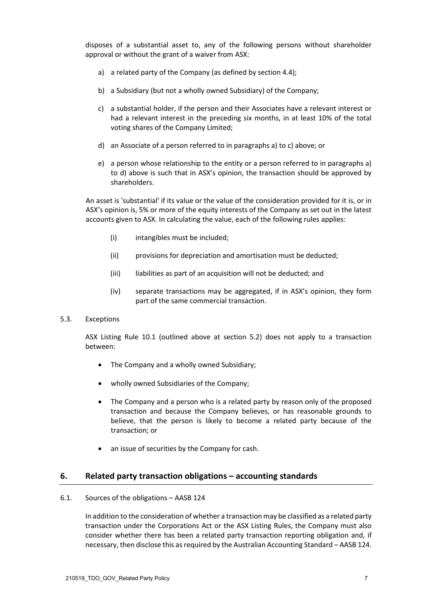<span id="page-8-0"></span>disposes of a substantial asset to, any of the following persons without shareholder approval or without the grant of a waiver from ASX:

- a) a related party of the Company (as defined by sectio[n 4.4\)](#page-4-0);
- b) a Subsidiary (but not a wholly owned Subsidiary) of the Company;
- <span id="page-8-1"></span>c) a substantial holder, if the person and their Associates have a relevant interest or had a relevant interest in the preceding six months, in at least 10% of the total voting shares of the Company Limited;
- <span id="page-8-2"></span>d) an Associate of a person referred to in paragraphs [a\)](#page-8-0) to [c\)](#page-8-1) above; or
- e) a person whose relationship to the entity or a person referred to in paragraphs [a\)](#page-8-0) to [d\)](#page-8-2) above is such that in ASX's opinion, the transaction should be approved by shareholders.

An asset is 'substantial' if its value or the value of the consideration provided for it is, or in ASX's opinion is, 5% or more of the equity interests of the Company as set out in the latest accounts given to ASX. In calculating the value, each of the following rules applies:

- (i) intangibles must be included;
- (ii) provisions for depreciation and amortisation must be deducted;
- (iii) liabilities as part of an acquisition will not be deducted; and
- (iv) separate transactions may be aggregated, if in ASX's opinion, they form part of the same commercial transaction.

#### 5.3. Exceptions

ASX Listing Rule 10.1 (outlined above at section [5.2\)](#page-7-0) does not apply to a transaction between:

- The Company and a wholly owned Subsidiary;
- wholly owned Subsidiaries of the Company;
- The Company and a person who is a related party by reason only of the proposed transaction and because the Company believes, or has reasonable grounds to believe, that the person is likely to become a related party because of the transaction; or
- an issue of securities by the Company for cash.

#### **6. Related party transaction obligations – accounting standards**

#### 6.1. Sources of the obligations – AASB 124

In addition to the consideration of whether a transaction may be classified as a related party transaction under the Corporations Act or the ASX Listing Rules, the Company must also consider whether there has been a related party transaction reporting obligation and, if necessary, then disclose this as required by the Australian Accounting Standard – AASB 124.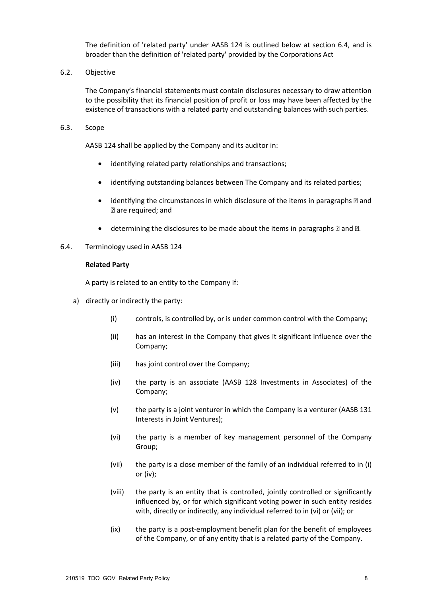The definition of 'related party' under AASB 124 is outlined below at section [6.4,](#page-9-0) and is broader than the definition of 'related party' provided by the Corporations Act

6.2. Objective

The Company's financial statements must contain disclosures necessary to draw attention to the possibility that its financial position of profit or loss may have been affected by the existence of transactions with a related party and outstanding balances with such parties.

<span id="page-9-1"></span>6.3. Scope

<span id="page-9-2"></span>AASB 124 shall be applied by the Company and its auditor in:

- identifying related party relationships and transactions;
- identifying outstanding balances between The Company and its related parties;
- identifying the circumstances in which disclosure of the items in paragraphs  $\mathbb D$  and are required; and
- determining the disclosures to be made about the items in paragraphs  $\mathbb Z$  and  $\mathbb Z$ .
- <span id="page-9-0"></span>6.4. Terminology used in AASB 124

#### **Related Party**

A party is related to an entity to the Company if:

- <span id="page-9-6"></span><span id="page-9-5"></span><span id="page-9-4"></span><span id="page-9-3"></span>a) directly or indirectly the party:
	- (i) controls, is controlled by, or is under common control with the Company;
	- (ii) has an interest in the Company that gives it significant influence over the Company;
	- (iii) has joint control over the Company;
	- (iv) the party is an associate (AASB 128 Investments in Associates) of the Company;
	- (v) the party is a joint venturer in which the Company is a venturer (AASB 131 Interests in Joint Ventures);
	- (vi) the party is a member of key management personnel of the Company Group;
	- (vii) the party is a close member of the family of an individual referred to in [\(i\)](#page-9-3) o[r \(iv\);](#page-9-4)
	- (viii) the party is an entity that is controlled, jointly controlled or significantly influenced by, or for which significant voting power in such entity resides with, directly or indirectly, any individual referred to in [\(vi\)](#page-9-5) or [\(vii\);](#page-9-6) or
	- (ix) the party is a post-employment benefit plan for the benefit of employees of the Company, or of any entity that is a related party of the Company.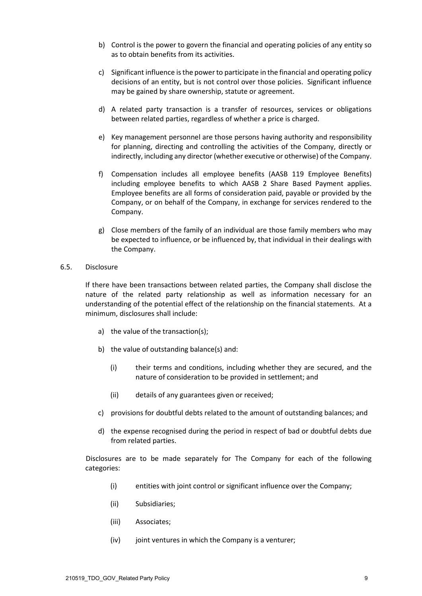- b) Control is the power to govern the financial and operating policies of any entity so as to obtain benefits from its activities.
- c) Significant influence is the power to participate in the financial and operating policy decisions of an entity, but is not control over those policies. Significant influence may be gained by share ownership, statute or agreement.
- d) A related party transaction is a transfer of resources, services or obligations between related parties, regardless of whether a price is charged.
- e) Key management personnel are those persons having authority and responsibility for planning, directing and controlling the activities of the Company, directly or indirectly, including any director (whether executive or otherwise) of the Company.
- f) Compensation includes all employee benefits (AASB 119 Employee Benefits) including employee benefits to which AASB 2 Share Based Payment applies. Employee benefits are all forms of consideration paid, payable or provided by the Company, or on behalf of the Company, in exchange for services rendered to the Company.
- g) Close members of the family of an individual are those family members who may be expected to influence, or be influenced by, that individual in their dealings with the Company.
- 6.5. Disclosure

If there have been transactions between related parties, the Company shall disclose the nature of the related party relationship as well as information necessary for an understanding of the potential effect of the relationship on the financial statements. At a minimum, disclosures shall include:

- a) the value of the transaction(s);
- b) the value of outstanding balance(s) and:
	- (i) their terms and conditions, including whether they are secured, and the nature of consideration to be provided in settlement; and
	- (ii) details of any guarantees given or received;
- c) provisions for doubtful debts related to the amount of outstanding balances; and
- d) the expense recognised during the period in respect of bad or doubtful debts due from related parties.

Disclosures are to be made separately for The Company for each of the following categories:

- (i) entities with joint control or significant influence over the Company;
- (ii) Subsidiaries;
- (iii) Associates;
- (iv) joint ventures in which the Company is a venturer;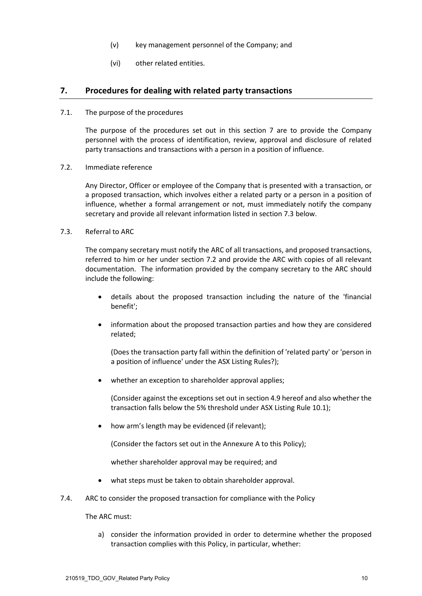- (v) key management personnel of the Company; and
- (vi) other related entities.

### **7. Procedures for dealing with related party transactions**

7.1. The purpose of the procedures

The purpose of the procedures set out in this section 7 are to provide the Company personnel with the process of identification, review, approval and disclosure of related party transactions and transactions with a person in a position of influence.

<span id="page-11-1"></span>7.2. Immediate reference

Any Director, Officer or employee of the Company that is presented with a transaction, or a proposed transaction, which involves either a related party or a person in a position of influence, whether a formal arrangement or not, must immediately notify the company secretary and provide all relevant information listed in sectio[n 7.3](#page-11-0) below.

<span id="page-11-0"></span>7.3. Referral to ARC

The company secretary must notify the ARC of all transactions, and proposed transactions, referred to him or her under section [7.2](#page-11-1) and provide the ARC with copies of all relevant documentation. The information provided by the company secretary to the ARC should include the following:

- details about the proposed transaction including the nature of the 'financial benefit';
- information about the proposed transaction parties and how they are considered related;

(Does the transaction party fall within the definition of 'related party' or 'person in a position of influence' under the ASX Listing Rules?);

whether an exception to shareholder approval applies;

(Consider against the exceptions set out in section [4.9](#page-5-1) hereof and also whether the transaction falls below the 5% threshold under ASX Listing Rule 10.1);

• how arm's length may be evidenced (if relevant);

(Consider the factors set out in the Annexure A to this Policy);

whether shareholder approval may be required; and

- what steps must be taken to obtain shareholder approval.
- 7.4. ARC to consider the proposed transaction for compliance with the Policy

The ARC must:

a) consider the information provided in order to determine whether the proposed transaction complies with this Policy, in particular, whether: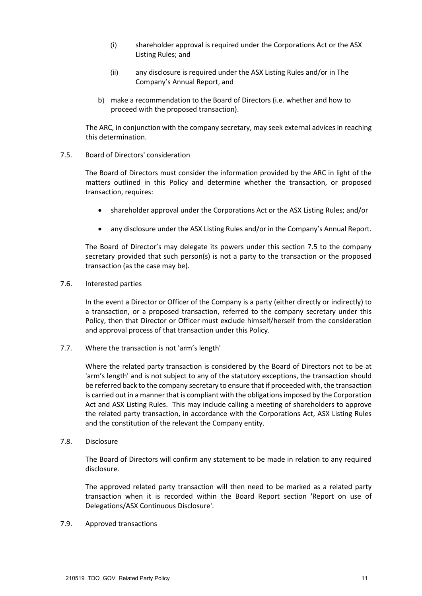- (i) shareholder approval is required under the Corporations Act or the ASX Listing Rules; and
- (ii) any disclosure is required under the ASX Listing Rules and/or in The Company's Annual Report, and
- b) make a recommendation to the Board of Directors (i.e. whether and how to proceed with the proposed transaction).

The ARC, in conjunction with the company secretary, may seek external advices in reaching this determination.

#### <span id="page-12-0"></span>7.5. Board of Directors' consideration

The Board of Directors must consider the information provided by the ARC in light of the matters outlined in this Policy and determine whether the transaction, or proposed transaction, requires:

- shareholder approval under the Corporations Act or the ASX Listing Rules; and/or
- any disclosure under the ASX Listing Rules and/or in the Company's Annual Report.

The Board of Director's may delegate its powers under this section [7.5](#page-12-0) to the company secretary provided that such person(s) is not a party to the transaction or the proposed transaction (as the case may be).

7.6. Interested parties

In the event a Director or Officer of the Company is a party (either directly or indirectly) to a transaction, or a proposed transaction, referred to the company secretary under this Policy, then that Director or Officer must exclude himself/herself from the consideration and approval process of that transaction under this Policy.

7.7. Where the transaction is not 'arm's length'

Where the related party transaction is considered by the Board of Directors not to be at 'arm's length' and is not subject to any of the statutory exceptions, the transaction should be referred back to the company secretary to ensure that if proceeded with, the transaction is carried out in a manner that is compliant with the obligations imposed by the Corporation Act and ASX Listing Rules. This may include calling a meeting of shareholders to approve the related party transaction, in accordance with the Corporations Act, ASX Listing Rules and the constitution of the relevant the Company entity.

7.8. Disclosure

The Board of Directors will confirm any statement to be made in relation to any required disclosure.

The approved related party transaction will then need to be marked as a related party transaction when it is recorded within the Board Report section 'Report on use of Delegations/ASX Continuous Disclosure'.

7.9. Approved transactions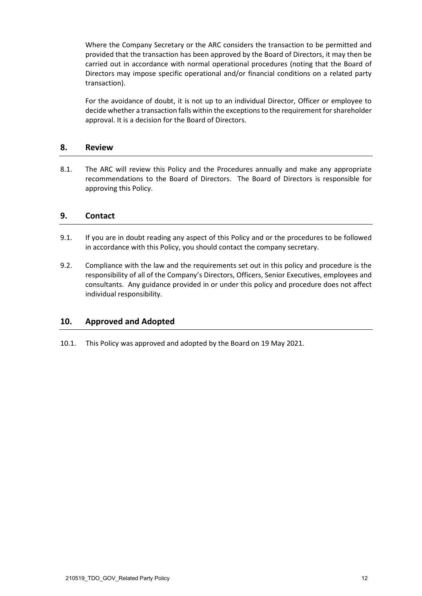Where the Company Secretary or the ARC considers the transaction to be permitted and provided that the transaction has been approved by the Board of Directors, it may then be carried out in accordance with normal operational procedures (noting that the Board of Directors may impose specific operational and/or financial conditions on a related party transaction).

For the avoidance of doubt, it is not up to an individual Director, Officer or employee to decide whether a transaction falls within the exceptions to the requirement for shareholder approval. It is a decision for the Board of Directors.

# **8. Review**

8.1. The ARC will review this Policy and the Procedures annually and make any appropriate recommendations to the Board of Directors. The Board of Directors is responsible for approving this Policy.

# **9. Contact**

- 9.1. If you are in doubt reading any aspect of this Policy and or the procedures to be followed in accordance with this Policy, you should contact the company secretary.
- 9.2. Compliance with the law and the requirements set out in this policy and procedure is the responsibility of all of the Company's Directors, Officers, Senior Executives, employees and consultants. Any guidance provided in or under this policy and procedure does not affect individual responsibility.

# **10. Approved and Adopted**

10.1. This Policy was approved and adopted by the Board on 19 May 2021.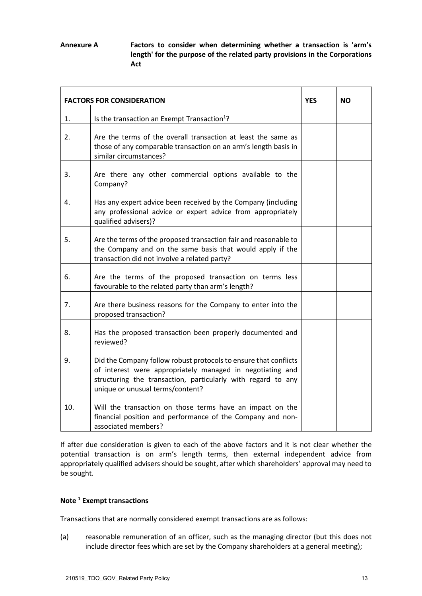**Annexure A Factors to consider when determining whether a transaction is 'arm's length' for the purpose of the related party provisions in the Corporations Act**

| <b>FACTORS FOR CONSIDERATION</b> |                                                                                                                                                                                                                                   | <b>YES</b> | <b>NO</b> |
|----------------------------------|-----------------------------------------------------------------------------------------------------------------------------------------------------------------------------------------------------------------------------------|------------|-----------|
| 1.                               | Is the transaction an Exempt Transaction <sup>1</sup> ?                                                                                                                                                                           |            |           |
| 2.                               | Are the terms of the overall transaction at least the same as<br>those of any comparable transaction on an arm's length basis in<br>similar circumstances?                                                                        |            |           |
| 3.                               | Are there any other commercial options available to the<br>Company?                                                                                                                                                               |            |           |
| 4.                               | Has any expert advice been received by the Company (including<br>any professional advice or expert advice from appropriately<br>qualified advisers)?                                                                              |            |           |
| 5.                               | Are the terms of the proposed transaction fair and reasonable to<br>the Company and on the same basis that would apply if the<br>transaction did not involve a related party?                                                     |            |           |
| 6.                               | Are the terms of the proposed transaction on terms less<br>favourable to the related party than arm's length?                                                                                                                     |            |           |
| 7.                               | Are there business reasons for the Company to enter into the<br>proposed transaction?                                                                                                                                             |            |           |
| 8.                               | Has the proposed transaction been properly documented and<br>reviewed?                                                                                                                                                            |            |           |
| 9.                               | Did the Company follow robust protocols to ensure that conflicts<br>of interest were appropriately managed in negotiating and<br>structuring the transaction, particularly with regard to any<br>unique or unusual terms/content? |            |           |
| 10.                              | Will the transaction on those terms have an impact on the<br>financial position and performance of the Company and non-<br>associated members?                                                                                    |            |           |

If after due consideration is given to each of the above factors and it is not clear whether the potential transaction is on arm's length terms, then external independent advice from appropriately qualified advisers should be sought, after which shareholders' approval may need to be sought.

#### **Note 1 Exempt transactions**

Transactions that are normally considered exempt transactions are as follows:

(a) reasonable remuneration of an officer, such as the managing director (but this does not include director fees which are set by the Company shareholders at a general meeting);